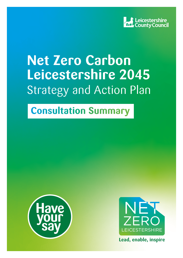

# **Net Zero Carbon Leicestershire 2045** Strategy and Action Plan

## **Consultation Summary**





**Lead, enable, inspire**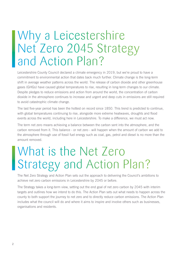# Why a Leicestershire Net Zero 2045 Strategy and Action Plan?

Leicestershire County Council declared a climate emergency in 2019, but we're proud to have a commitment to environmental action that dates back much further. Climate change is the long-term shift in average weather patterns across the world. The release of carbon dioxide and other greenhouse gases (GHGs) have caused global temperatures to rise, resulting in long-term changes to our climate. Despite pledges to reduce emissions and action from around the world, the concentration of carbon dioxide in the atmosphere continues to increase and urgent and deep cuts in emissions are still required to avoid catastrophic climate change.

The last five-year period has been the hottest on record since 1850. This trend is predicted to continue, with global temperatures continuing to rise, alongside more extreme heatwaves, droughts and flood events across the world, including here in Leicestershire. To make a difference, we must act now.

The term net zero means achieving a balance between the carbon sent into the atmosphere, and the carbon removed from it. This balance - or net zero - will happen when the amount of carbon we add to the atmosphere through use of fossil fuel energy such as coal, gas, petrol and diesel is no more than the amount removed.

# What is the Net Zero Strategy and Action Plan?

The Net Zero Strategy and Action Plan sets out the approach to delivering the Council's ambitions to achieve net zero carbon emissions in Leicestershire by 2045 or before.

The Strategy takes a long-term view, setting out the end goal of net zero carbon by 2045 with interim targets and outlines how we intend to do this. The Action Plan sets out what needs to happen across the county to both support the journey to net zero and to directly reduce carbon emissions. The Action Plan includes what the council will do and where it aims to inspire and involve others such as businesses, organisations and residents.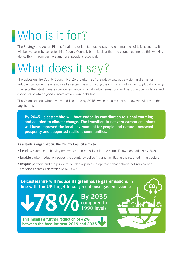# Who is it for?

The Strategy and Action Plan is for all the residents, businesses and communities of Leicestershire. It will be overseen by Leicestershire County Council, but it is clear that the council cannot do this working alone. Buy-in from partners and local people is essential.

# What does it say?

The Leicestershire County Council Net Zero Carbon 2045 Strategy sets out a vision and aims for reducing carbon emissions across Leicestershire and halting the county's contribution to global warming. It reflects the latest climate science, evidence on local carbon emissions and best practice guidance and checklists of what a good climate action plan looks like.

The vision sets out where we would like to be by 2045, while the aims set out how we will reach the targets. It is:

**By 2045 Leicestershire will have ended its contribution to global warming and adapted to climate change. The transition to net zero carbon emissions will have improved the local environment for people and nature, increased prosperity and supported resilient communities.**

#### **As a leading organisation, the County Council aims to:**

**This means a further reduction of 42% between the baseline year 2019 and 2035**

**78%**

- **•Lead** by example, achieving net zero carbon emissions for the council's own operations by 2030.
- **•Enable** carbon reduction across the county by delivering and facilitating the required infrastructure.

**By 2035** 

compared to 1990 levels

• **Inspire** partners and the public to develop a joined-up approach that delivers net zero carbon emissions across Leicestershire by 2045.

**Leicestershire will reduce its greenhouse gas emissions in line with the UK target to cut greenhouse gas emissions:**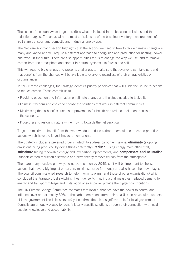The scope of the countywide target describes what is included in the baseline emissions and the reduction targets. The areas with the most emissions as of the baseline inventory measurements of 2019 are transport and domestic and industrial energy use.

The Net Zero Approach section highlights that the actions we need to take to tackle climate change are many and varied and will require a different approach to energy use and production for heating, power and travel in the future. There are also opportunities for us to change the way we use land to remove carbon from the atmosphere and store it in natural systems like forests and soil.

This will require big changes and presents challenges to make sure that everyone can take part and that benefits from the changes will be available to everyone regardless of their characteristics or circumstances.

To tackle these challenges, the Strategy identifies priority principles that will guide the Council's actions to reduce carbon. These commit us to:

- Providing education and information on climate change and the steps needed to tackle it.
- Fairness, freedom and choice to choose the solutions that work in different communities.
- Maximising the co-benefits such as improvements for health and reduced pollution, boosts to the economy.
- Protecting and restoring nature while moving towards the net zero goal.

To get the maximum benefit from the work we do to reduce carbon, there will be a need to prioritise actions which have the largest impact on emissions.

The Strategy includes a preferred order in which to address carbon emissions: **eliminate** (stopping emissions being produced by doing things differently), **reduce** (using energy more efficiently), **substitute** (using renewable energy and low carbon replacements) and **compensate and neutralise** (support carbon reduction elsewhere and permanently remove carbon from the atmosphere).

There are many possible pathways to net zero carbon by 2045, so it will be important to choose actions that have a big impact on carbon, maximise value for money and also have other advantages. The council commissioned research to help inform its plans (and those of other organisations) which concluded that transport fuel switching, heat fuel switching, industrial measures, reduced demand for energy and transport mileage and installation of solar power provide the biggest contributions.

The UK Climate Change Committee estimates that local authorities have the power to control and influence over approximately 30% of the carbon emissions from their area (less in areas with two tiers of local government like Leicestershire) yet confirms there is a significant role for local government. Councils are uniquely placed to identify locally specific solutions through their connection with local people, knowledge and accountability.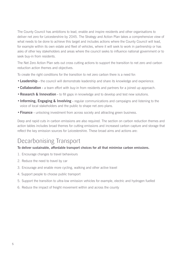The County Council has ambitions to lead, enable and inspire residents and other organisations to deliver net zero for Leicestershire by 2045. The Strategy and Action Plan takes a comprehensive view of what needs to be done to achieve this target and includes actions where the County Council will lead, for example within its own estate and fleet of vehicles, where it will seek to work in partnership or has asks of other key stakeholders and areas where the council seeks to influence national government or to seek buy-in from residents.

The Net Zero Action Plan sets out cross cutting actions to support the transition to net zero and carbon reduction action themes and objectives.

To create the right conditions for the transition to net zero carbon there is a need for:

- **•Leadership** the council will demonstrate leadership and share its knowledge and experience.
- **•Collaboration** a team effort with buy-in from residents and partners for a joined up approach.
- **Research & Innovation -** to fill gaps in knowledge and to develop and test new solutions.
- **•Informing, Engaging & Involving -** regular communications and campaigns and listening to the voice of local stakeholders and the public to shape net zero plans.
- **•Finance -** unlocking investment from across society and attracting green business.

Deep and rapid cuts in carbon emissions are also required. The section on carbon reduction themes and action tables includes broad themes for cutting emissions and increased carbon capture and storage that reflect the key emission sources for Leicestershire. These broad aims and actions are:

### Decarbonising Transport

#### **To deliver sustainable, affordable transport choices for all that minimise carbon emissions.**

- 1. Encourage changes to travel behaviours
- 2. Reduce the need to travel by car
- 3. Encourage and enable more cycling, walking and other active travel
- 4. Support people to choose public transport
- 5. Support the transition to ultra-low emission vehicles for example, electric and hydrogen fuelled
- 6. Reduce the impact of freight movement within and across the county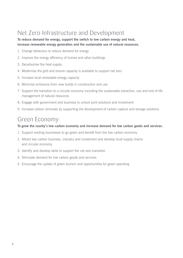## Net Zero Infrastructure and Development

**To reduce demand for energy, support the switch to low carbon energy and heat, increase renewable energy generation and the sustainable use of natural resources.**

- 1. Change behaviour to reduce demand for energy
- 2. Improve the energy efficiency of homes and other buildings
- 3. Decarbonise the heat supply
- 4. Modernise the grid and ensure capacity is available to support net zero
- 5. Increase local renewable energy capacity
- 6. Minimise emissions from new builds in construction and use
- 7. Support the transition to a circular economy including the sustainable extraction, use and end of life management of natural resources
- 8. Engage with government and business to unlock joint solutions and investment
- 9. Increase carbon removals by supporting the development of carbon capture and storage solutions

### Green Economy

#### **To grow the county's low carbon economy and increase demand for low carbon goods and services.**

- 1. Support existing businesses to go green and benefit from the low carbon economy
- 2. Attract low carbon business, industry and investment and develop local supply chains and circular economy
- 3. Identify and develop skills to support the net zero transition
- 4. Stimulate demand for low carbon goods and services
- 5. Encourage the uptake of green tourism and opportunities for green spending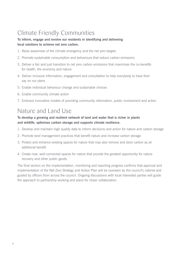## Climate Friendly Communities

#### **To inform, engage and involve our residents in identifying and delivering local solutions to achieve net zero carbon.**

- 1. Raise awareness of the climate emergency and the net zero targets
- 2. Promote sustainable consumption and behaviours that reduce carbon emissions
- 3. Deliver a fair and just transition to net zero carbon emissions that maximises the co-benefits for health, the economy and nature
- 4. Deliver inclusive information, engagement and consultation to help everybody to have their say on our plans
- 5. Enable individual behaviour change and sustainable choices
- 6. Enable community climate action
- 7. Embrace innovative models of providing community information, public involvement and action

### Nature and Land Use

#### **To develop a growing and resilient network of land and water that is richer in plants and wildlife, optimises carbon storage and supports climate resilience.**

- 1. Develop and maintain high quality data to inform decisions and action for nature and carbon storage
- 2. Promote land management practices that benefit nature and increase carbon storage
- 3. Protect and enhance existing spaces for nature that may also remove and store carbon as an additional benefit
- 4. Create new, well-connected spaces for nature that provide the greatest opportunity for nature recovery and other public goods

The final section on the implementation, monitoring and reporting progress confirms that approval and implementation of the Net Zero Strategy and Action Plan will be overseen by the council's cabinet and guided by officers from across the council. Ongoing discussions with local interested parties will guide the approach to partnership working and plans for closer collaboration.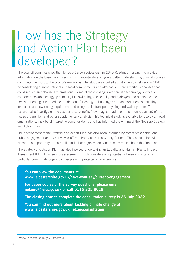# How has the Strategy and Action Plan been developed?

The council commissioned the Net Zero Carbon Leicestershire 2045 Roadmap<sup>1</sup> research to provide information on the baseline emissions from Leicestershire to gain a better understanding of what sources contribute the most to the county's emissions. The study also looked at pathways to net zero by 2045 by considering current national and local commitments and alternative, more ambitious changes that could reduce greenhouse gas emissions. Some of these changes are through technology shifts such as more renewable energy generation, fuel switching to electricity and hydrogen and others include behaviour changes that reduce the demand for energy in buildings and transport such as installing insulation and low energy equipment and using public transport, cycling and walking more. The research also investigated the costs and co-benefits (advantages in addition to carbon reduction) of the net zero transition and other supplementary analysis. This technical study is available for use by all local organisations, may be of interest to some residents and has informed the writing of the Net Zero Strategy and Action Plan.

The development of the Strategy and Action Plan has also been informed by recent stakeholder and public engagement and has involved officers from across the County Council. The consultation will extend this opportunity to the public and other organisations and businesses to shape the final plans.

The Strategy and Action Plan has also involved undertaking an Equality and Human Rights Impact Assessment (EHRIA) screening assessment, which considers any potential adverse impacts on a particular community or group of people with protected characteristics.

**You can view the documents at www.leicestershire.gov.uk/have-your-say/current-engagement**

**For paper copies of the survey questions, please email netzero@leics.gov.uk or call 0116 305 8019.** 

**The closing date to complete the consultation survey is 26 July 2022.**

**You can find out more about tackling climate change at www.leicestershire.gov.uk/netzeroconsultation**

<sup>1</sup> www.leicsestershire.gov.uk/netzero